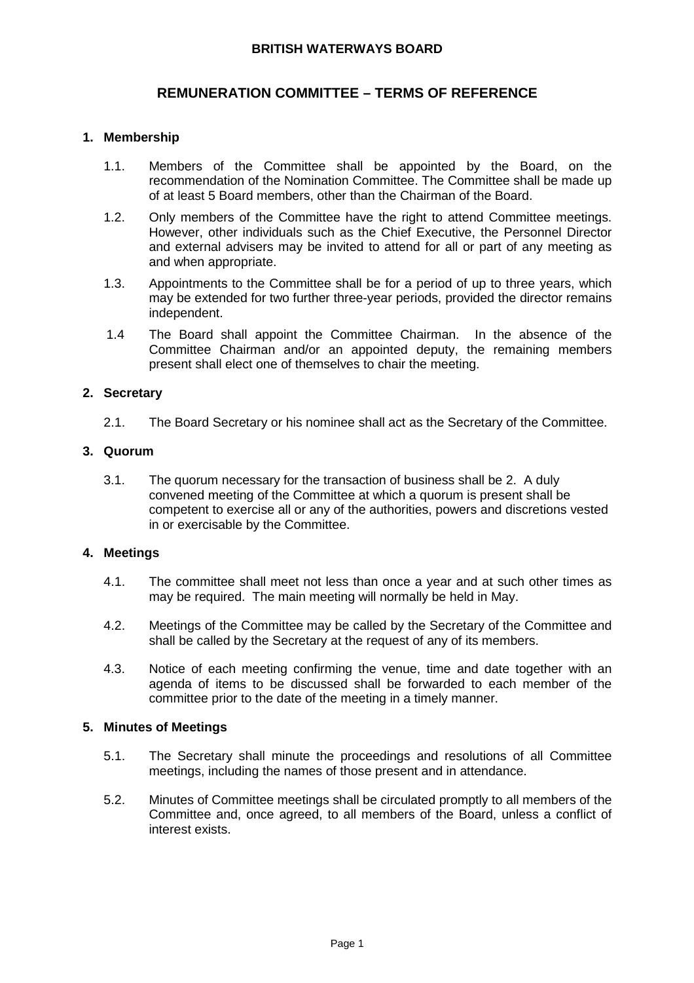### **BRITISH WATERWAYS BOARD**

# **REMUNERATION COMMITTEE – TERMS OF REFERENCE**

## **1. Membership**

- 1.1. Members of the Committee shall be appointed by the Board, on the recommendation of the Nomination Committee. The Committee shall be made up of at least 5 Board members, other than the Chairman of the Board.
- 1.2. Only members of the Committee have the right to attend Committee meetings. However, other individuals such as the Chief Executive, the Personnel Director and external advisers may be invited to attend for all or part of any meeting as and when appropriate.
- 1.3. Appointments to the Committee shall be for a period of up to three years, which may be extended for two further three-year periods, provided the director remains independent.
- 1.4 The Board shall appoint the Committee Chairman. In the absence of the Committee Chairman and/or an appointed deputy, the remaining members present shall elect one of themselves to chair the meeting.

### **2. Secretary**

2.1. The Board Secretary or his nominee shall act as the Secretary of the Committee.

#### **3. Quorum**

3.1. The quorum necessary for the transaction of business shall be 2. A duly convened meeting of the Committee at which a quorum is present shall be competent to exercise all or any of the authorities, powers and discretions vested in or exercisable by the Committee.

#### **4. Meetings**

- 4.1. The committee shall meet not less than once a year and at such other times as may be required. The main meeting will normally be held in May.
- 4.2. Meetings of the Committee may be called by the Secretary of the Committee and shall be called by the Secretary at the request of any of its members.
- 4.3. Notice of each meeting confirming the venue, time and date together with an agenda of items to be discussed shall be forwarded to each member of the committee prior to the date of the meeting in a timely manner.

#### **5. Minutes of Meetings**

- 5.1. The Secretary shall minute the proceedings and resolutions of all Committee meetings, including the names of those present and in attendance.
- 5.2. Minutes of Committee meetings shall be circulated promptly to all members of the Committee and, once agreed, to all members of the Board, unless a conflict of interest exists.